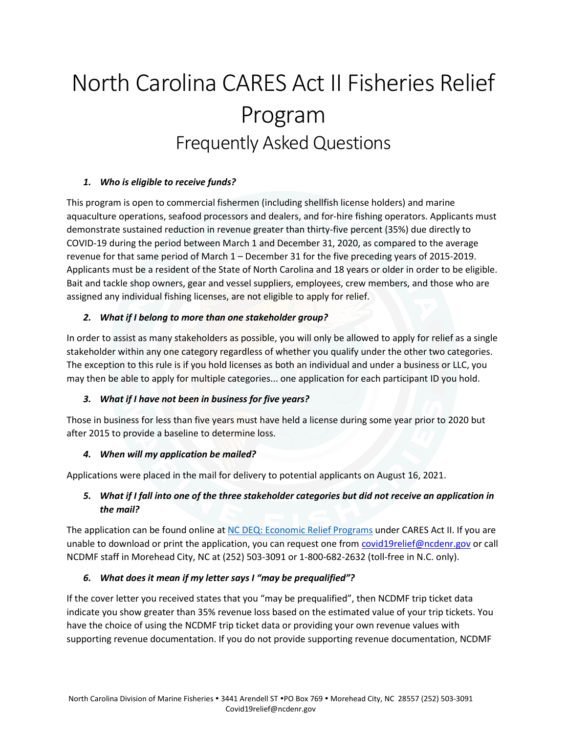# North Carolina CARES Act II Fisheries Relief Program Frequently Asked Questions

## *1. Who is eligible to receive funds?*

This program is open to commercial fishermen (including shellfish license holders) and marine aquaculture operations, seafood processors and dealers, and for-hire fishing operators. Applicants must demonstrate sustained reduction in revenue greater than thirty-five percent (35%) due directly to COVID-19 during the period between March 1 and December 31, 2020, as compared to the average revenue for that same period of March 1 – December 31 for the five preceding years of 2015-2019. Applicants must be a resident of the State of North Carolina and 18 years or older in order to be eligible. Bait and tackle shop owners, gear and vessel suppliers, employees, crew members, and those who are assigned any individual fishing licenses, are not eligible to apply for relief.

#### *2. What if I belong to more than one stakeholder group?*

In order to assist as many stakeholders as possible, you will only be allowed to apply for relief as a single stakeholder within any one category regardless of whether you qualify under the other two categories. The exception to this rule is if you hold licenses as both an individual and under a business or LLC, you may then be able to apply for multiple categories... one application for each participant ID you hold.

#### *3. What if I have not been in business for five years?*

Those in business for less than five years must have held a license during some year prior to 2020 but after 2015 to provide a baseline to determine loss.

#### *4. When will my application be mailed?*

Applications were placed in the mail for delivery to potential applicants on August 16, 2021.

## *5. What if I fall into one of the three stakeholder categories but did not receive an application in the mail?*

The application can be found online at [NC DEQ: Economic Relief Programs](https://deq.nc.gov/about/divisions/marine-fisheries/grant-programs/economic-relief-programs#nc-consolidated-appropriations-act-fishery-relief-program-(cares-act-ii)) under CARES Act II. If you are unable to download or print the application, you can request one from [covid19relief@ncdenr.gov](mailto:covid19relief@ncdenr.gov) or call NCDMF staff in Morehead City, NC at (252) 503-3091 or 1-800-682-2632 (toll-free in N.C. only).

## *6. What does it mean if my letter says I "may be prequalified"?*

If the cover letter you received states that you "may be prequalified", then NCDMF trip ticket data indicate you show greater than 35% revenue loss based on the estimated value of your trip tickets. You have the choice of using the NCDMF trip ticket data or providing your own revenue values with supporting revenue documentation. If you do not provide supporting revenue documentation, NCDMF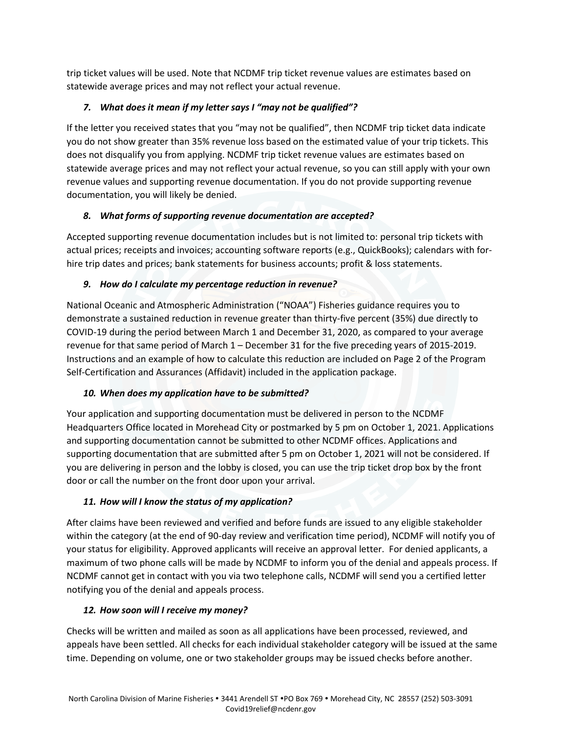trip ticket values will be used. Note that NCDMF trip ticket revenue values are estimates based on statewide average prices and may not reflect your actual revenue.

# *7. What does it mean if my letter says I "may not be qualified"?*

If the letter you received states that you "may not be qualified", then NCDMF trip ticket data indicate you do not show greater than 35% revenue loss based on the estimated value of your trip tickets. This does not disqualify you from applying. NCDMF trip ticket revenue values are estimates based on statewide average prices and may not reflect your actual revenue, so you can still apply with your own revenue values and supporting revenue documentation. If you do not provide supporting revenue documentation, you will likely be denied.

## *8. What forms of supporting revenue documentation are accepted?*

Accepted supporting revenue documentation includes but is not limited to: personal trip tickets with actual prices; receipts and invoices; accounting software reports (e.g., QuickBooks); calendars with forhire trip dates and prices; bank statements for business accounts; profit & loss statements.

## *9. How do I calculate my percentage reduction in revenue?*

National Oceanic and Atmospheric Administration ("NOAA") Fisheries guidance requires you to demonstrate a sustained reduction in revenue greater than thirty-five percent (35%) due directly to COVID-19 during the period between March 1 and December 31, 2020, as compared to your average revenue for that same period of March 1 – December 31 for the five preceding years of 2015-2019. Instructions and an example of how to calculate this reduction are included on Page 2 of the Program Self-Certification and Assurances (Affidavit) included in the application package.

# *10. When does my application have to be submitted?*

Your application and supporting documentation must be delivered in person to the NCDMF Headquarters Office located in Morehead City or postmarked by 5 pm on October 1, 2021. Applications and supporting documentation cannot be submitted to other NCDMF offices. Applications and supporting documentation that are submitted after 5 pm on October 1, 2021 will not be considered. If you are delivering in person and the lobby is closed, you can use the trip ticket drop box by the front door or call the number on the front door upon your arrival.

# *11. How will I know the status of my application?*

After claims have been reviewed and verified and before funds are issued to any eligible stakeholder within the category (at the end of 90-day review and verification time period), NCDMF will notify you of your status for eligibility. Approved applicants will receive an approval letter. For denied applicants, a maximum of two phone calls will be made by NCDMF to inform you of the denial and appeals process. If NCDMF cannot get in contact with you via two telephone calls, NCDMF will send you a certified letter notifying you of the denial and appeals process.

# *12. How soon will I receive my money?*

Checks will be written and mailed as soon as all applications have been processed, reviewed, and appeals have been settled. All checks for each individual stakeholder category will be issued at the same time. Depending on volume, one or two stakeholder groups may be issued checks before another.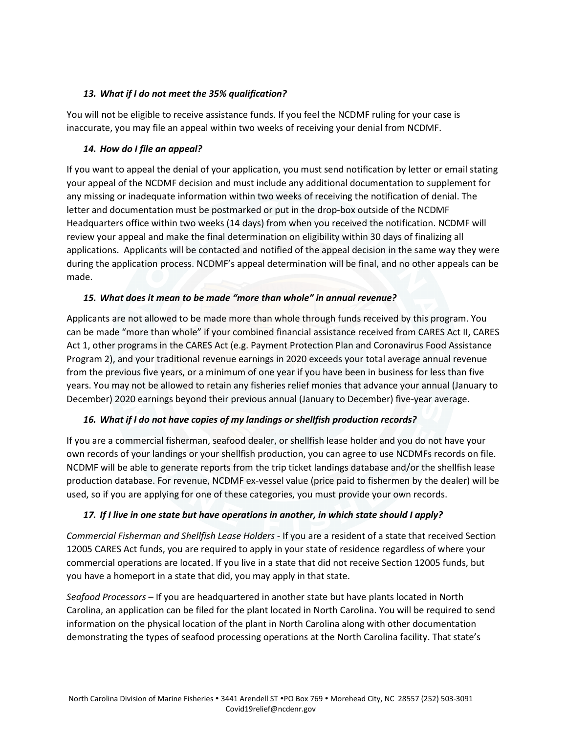#### *13. What if I do not meet the 35% qualification?*

You will not be eligible to receive assistance funds. If you feel the NCDMF ruling for your case is inaccurate, you may file an appeal within two weeks of receiving your denial from NCDMF.

#### *14. How do I file an appeal?*

If you want to appeal the denial of your application, you must send notification by letter or email stating your appeal of the NCDMF decision and must include any additional documentation to supplement for any missing or inadequate information within two weeks of receiving the notification of denial. The letter and documentation must be postmarked or put in the drop-box outside of the NCDMF Headquarters office within two weeks (14 days) from when you received the notification. NCDMF will review your appeal and make the final determination on eligibility within 30 days of finalizing all applications. Applicants will be contacted and notified of the appeal decision in the same way they were during the application process. NCDMF's appeal determination will be final, and no other appeals can be made.

## *15. What does it mean to be made "more than whole" in annual revenue?*

Applicants are not allowed to be made more than whole through funds received by this program. You can be made "more than whole" if your combined financial assistance received from CARES Act II, CARES Act 1, other programs in the CARES Act (e.g. Payment Protection Plan and Coronavirus Food Assistance Program 2), and your traditional revenue earnings in 2020 exceeds your total average annual revenue from the previous five years, or a minimum of one year if you have been in business for less than five years. You may not be allowed to retain any fisheries relief monies that advance your annual (January to December) 2020 earnings beyond their previous annual (January to December) five-year average.

## *16. What if I do not have copies of my landings or shellfish production records?*

If you are a commercial fisherman, seafood dealer, or shellfish lease holder and you do not have your own records of your landings or your shellfish production, you can agree to use NCDMFs records on file. NCDMF will be able to generate reports from the trip ticket landings database and/or the shellfish lease production database. For revenue, NCDMF ex-vessel value (price paid to fishermen by the dealer) will be used, so if you are applying for one of these categories, you must provide your own records.

## *17. If I live in one state but have operations in another, in which state should I apply?*

*Commercial Fisherman and Shellfish Lease Holders* - If you are a resident of a state that received Section 12005 CARES Act funds, you are required to apply in your state of residence regardless of where your commercial operations are located. If you live in a state that did not receive Section 12005 funds, but you have a homeport in a state that did, you may apply in that state.

*Seafood Processors* – If you are headquartered in another state but have plants located in North Carolina, an application can be filed for the plant located in North Carolina. You will be required to send information on the physical location of the plant in North Carolina along with other documentation demonstrating the types of seafood processing operations at the North Carolina facility. That state's